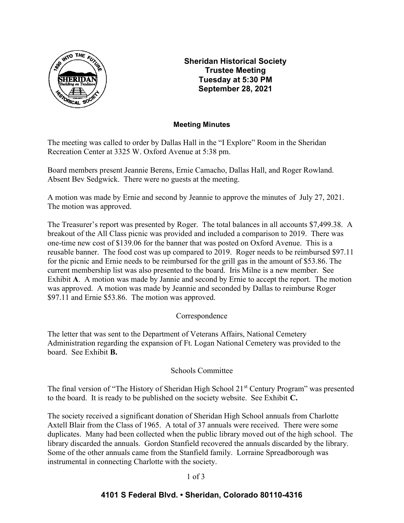

Sheridan Historical Society Trustee Meeting Tuesday at 5:30 PM September 28, 2021

## Meeting Minutes

The meeting was called to order by Dallas Hall in the "I Explore" Room in the Sheridan Recreation Center at 3325 W. Oxford Avenue at 5:38 pm.

Board members present Jeannie Berens, Ernie Camacho, Dallas Hall, and Roger Rowland. Absent Bev Sedgwick. There were no guests at the meeting.

A motion was made by Ernie and second by Jeannie to approve the minutes of July 27, 2021. The motion was approved.

The Treasurer's report was presented by Roger. The total balances in all accounts \$7,499.38. A breakout of the All Class picnic was provided and included a comparison to 2019. There was one-time new cost of \$139.06 for the banner that was posted on Oxford Avenue. This is a reusable banner. The food cost was up compared to 2019. Roger needs to be reimbursed \$97.11 for the picnic and Ernie needs to be reimbursed for the grill gas in the amount of \$53.86. The current membership list was also presented to the board. Iris Milne is a new member. See Exhibit A. A motion was made by Jannie and second by Ernie to accept the report. The motion was approved. A motion was made by Jeannie and seconded by Dallas to reimburse Roger \$97.11 and Ernie \$53.86. The motion was approved.

# Correspondence

The letter that was sent to the Department of Veterans Affairs, National Cemetery Administration regarding the expansion of Ft. Logan National Cemetery was provided to the board. See Exhibit B.

# Schools Committee

The final version of "The History of Sheridan High School 21<sup>st</sup> Century Program" was presented to the board. It is ready to be published on the society website. See Exhibit C.

The society received a significant donation of Sheridan High School annuals from Charlotte Axtell Blair from the Class of 1965. A total of 37 annuals were received. There were some duplicates. Many had been collected when the public library moved out of the high school. The library discarded the annuals. Gordon Stanfield recovered the annuals discarded by the library. Some of the other annuals came from the Stanfield family. Lorraine Spreadborough was instrumental in connecting Charlotte with the society.

#### 1 of 3

# 4101 S Federal Blvd. • Sheridan, Colorado 80110-4316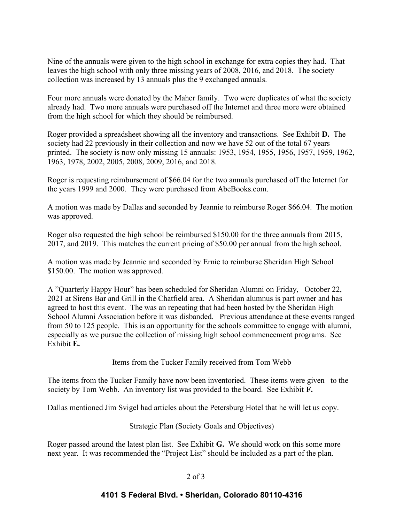Nine of the annuals were given to the high school in exchange for extra copies they had. That leaves the high school with only three missing years of 2008, 2016, and 2018. The society collection was increased by 13 annuals plus the 9 exchanged annuals.

Four more annuals were donated by the Maher family. Two were duplicates of what the society already had. Two more annuals were purchased off the Internet and three more were obtained from the high school for which they should be reimbursed.

Roger provided a spreadsheet showing all the inventory and transactions. See Exhibit D. The society had 22 previously in their collection and now we have 52 out of the total 67 years printed. The society is now only missing 15 annuals: 1953, 1954, 1955, 1956, 1957, 1959, 1962, 1963, 1978, 2002, 2005, 2008, 2009, 2016, and 2018.

Roger is requesting reimbursement of \$66.04 for the two annuals purchased off the Internet for the years 1999 and 2000. They were purchased from AbeBooks.com.

A motion was made by Dallas and seconded by Jeannie to reimburse Roger \$66.04. The motion was approved.

Roger also requested the high school be reimbursed \$150.00 for the three annuals from 2015, 2017, and 2019. This matches the current pricing of \$50.00 per annual from the high school.

A motion was made by Jeannie and seconded by Ernie to reimburse Sheridan High School \$150.00. The motion was approved.

A "Quarterly Happy Hour" has been scheduled for Sheridan Alumni on Friday, October 22, 2021 at Sirens Bar and Grill in the Chatfield area. A Sheridan alumnus is part owner and has agreed to host this event. The was an repeating that had been hosted by the Sheridan High School Alumni Association before it was disbanded. Previous attendance at these events ranged from 50 to 125 people. This is an opportunity for the schools committee to engage with alumni, especially as we pursue the collection of missing high school commencement programs. See Exhibit E.

Items from the Tucker Family received from Tom Webb

The items from the Tucker Family have now been inventoried. These items were given to the society by Tom Webb. An inventory list was provided to the board. See Exhibit F.

Dallas mentioned Jim Svigel had articles about the Petersburg Hotel that he will let us copy.

Strategic Plan (Society Goals and Objectives)

Roger passed around the latest plan list. See Exhibit G. We should work on this some more next year. It was recommended the "Project List" should be included as a part of the plan.

#### 2 of 3

#### 4101 S Federal Blvd. • Sheridan, Colorado 80110-4316